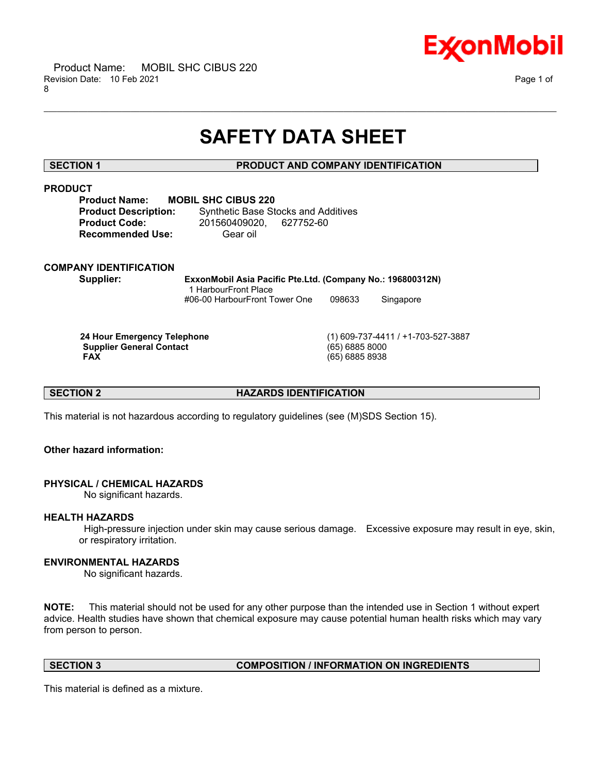

# **SAFETY DATA SHEET**

\_\_\_\_\_\_\_\_\_\_\_\_\_\_\_\_\_\_\_\_\_\_\_\_\_\_\_\_\_\_\_\_\_\_\_\_\_\_\_\_\_\_\_\_\_\_\_\_\_\_\_\_\_\_\_\_\_\_\_\_\_\_\_\_\_\_\_\_\_\_\_\_\_\_\_\_\_\_\_\_\_\_\_\_\_\_\_\_\_\_\_\_\_\_\_\_\_\_\_\_\_\_\_\_\_\_\_\_\_\_\_\_\_\_\_\_\_\_

# **SECTION 1 PRODUCT AND COMPANY IDENTIFICATION**

# **PRODUCT**

| <b>Product Name:</b>        | MOBI |
|-----------------------------|------|
| <b>Product Description:</b> |      |
| <b>Product Code:</b>        |      |
| <b>Recommended Use:</b>     |      |

**L SHC CIBUS 220 Synthetic Base Stocks and Additives Product Code:** 201560409020, 627752-60 **Gear oil** 

# **COMPANY IDENTIFICATION**

**Supplier: ExxonMobil Asia Pacific Pte.Ltd. (Company No.: 196800312N)** 1 HarbourFront Place #06-00 HarbourFront Tower One 098633 Singapore

**Supplier General Contact FAX** 

 **24 Hour Emergency Telephone** (1) 609-737-4411 / +1-703-527-3887  **FAX** (65) 6885 8938

**SECTION 2 HAZARDS IDENTIFICATION** 

This material is not hazardous according to regulatory guidelines (see (M)SDS Section 15).

# **Other hazard information:**

# **PHYSICAL / CHEMICAL HAZARDS**

No significant hazards.

# **HEALTH HAZARDS**

 High-pressure injection under skin may cause serious damage. Excessive exposure may result in eye, skin, or respiratory irritation.

# **ENVIRONMENTAL HAZARDS**

No significant hazards.

**NOTE:** This material should not be used for any other purpose than the intended use in Section 1 without expert advice. Health studies have shown that chemical exposure may cause potential human health risks which may vary from person to person.

# **SECTION 3 COMPOSITION / INFORMATION ON INGREDIENTS**

This material is defined as a mixture.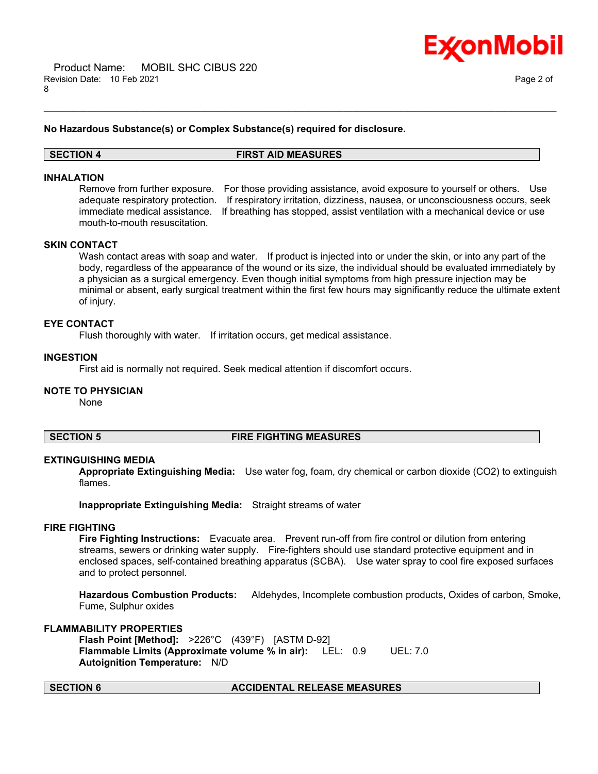

### **No Hazardous Substance(s) or Complex Substance(s) required for disclosure.**

# **SECTION 4 FIRST AID MEASURES**

\_\_\_\_\_\_\_\_\_\_\_\_\_\_\_\_\_\_\_\_\_\_\_\_\_\_\_\_\_\_\_\_\_\_\_\_\_\_\_\_\_\_\_\_\_\_\_\_\_\_\_\_\_\_\_\_\_\_\_\_\_\_\_\_\_\_\_\_\_\_\_\_\_\_\_\_\_\_\_\_\_\_\_\_\_\_\_\_\_\_\_\_\_\_\_\_\_\_\_\_\_\_\_\_\_\_\_\_\_\_\_\_\_\_\_\_\_\_

# **INHALATION**

Remove from further exposure. For those providing assistance, avoid exposure to yourself or others. Use adequate respiratory protection. If respiratory irritation, dizziness, nausea, or unconsciousness occurs, seek immediate medical assistance. If breathing has stopped, assist ventilation with a mechanical device or use mouth-to-mouth resuscitation.

### **SKIN CONTACT**

Wash contact areas with soap and water. If product is injected into or under the skin, or into any part of the body, regardless of the appearance of the wound or its size, the individual should be evaluated immediately by a physician as a surgical emergency. Even though initial symptoms from high pressure injection may be minimal or absent, early surgical treatment within the first few hours may significantly reduce the ultimate extent of injury.

### **EYE CONTACT**

Flush thoroughly with water. If irritation occurs, get medical assistance.

### **INGESTION**

First aid is normally not required. Seek medical attention if discomfort occurs.

### **NOTE TO PHYSICIAN**

None

# **SECTION 5 FIRE FIGHTING MEASURES**

### **EXTINGUISHING MEDIA**

**Appropriate Extinguishing Media:** Use water fog, foam, dry chemical or carbon dioxide (CO2) to extinguish flames.

**Inappropriate Extinguishing Media:** Straight streams of water

### **FIRE FIGHTING**

**Fire Fighting Instructions:** Evacuate area. Prevent run-off from fire control or dilution from entering streams, sewers or drinking water supply. Fire-fighters should use standard protective equipment and in enclosed spaces, self-contained breathing apparatus (SCBA). Use water spray to cool fire exposed surfaces and to protect personnel.

**Hazardous Combustion Products:** Aldehydes, Incomplete combustion products, Oxides of carbon, Smoke, Fume, Sulphur oxides

# **FLAMMABILITY PROPERTIES**

**Flash Point [Method]:** >226°C (439°F) [ASTM D-92] **Flammable Limits (Approximate volume % in air):** LEL: 0.9 UEL: 7.0 **Autoignition Temperature:** N/D

# **SECTION 6 ACCIDENTAL RELEASE MEASURES**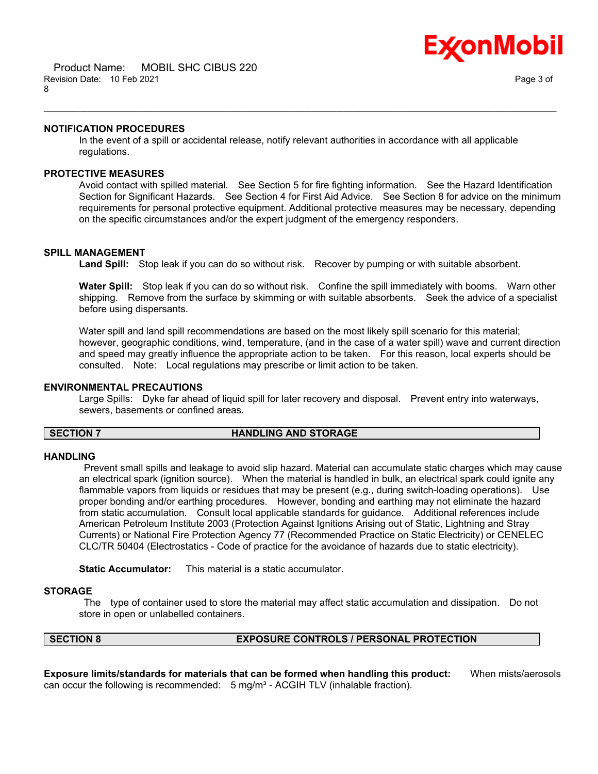

### **NOTIFICATION PROCEDURES**

In the event of a spill or accidental release, notify relevant authorities in accordance with all applicable regulations.

\_\_\_\_\_\_\_\_\_\_\_\_\_\_\_\_\_\_\_\_\_\_\_\_\_\_\_\_\_\_\_\_\_\_\_\_\_\_\_\_\_\_\_\_\_\_\_\_\_\_\_\_\_\_\_\_\_\_\_\_\_\_\_\_\_\_\_\_\_\_\_\_\_\_\_\_\_\_\_\_\_\_\_\_\_\_\_\_\_\_\_\_\_\_\_\_\_\_\_\_\_\_\_\_\_\_\_\_\_\_\_\_\_\_\_\_\_\_

# **PROTECTIVE MEASURES**

Avoid contact with spilled material. See Section 5 for fire fighting information. See the Hazard Identification Section for Significant Hazards. See Section 4 for First Aid Advice. See Section 8 for advice on the minimum requirements for personal protective equipment. Additional protective measures may be necessary, depending on the specific circumstances and/or the expert judgment of the emergency responders.

### **SPILL MANAGEMENT**

**Land Spill:** Stop leak if you can do so without risk. Recover by pumping or with suitable absorbent.

**Water Spill:** Stop leak if you can do so without risk. Confine the spill immediately with booms. Warn other shipping. Remove from the surface by skimming or with suitable absorbents. Seek the advice of a specialist before using dispersants.

Water spill and land spill recommendations are based on the most likely spill scenario for this material; however, geographic conditions, wind, temperature, (and in the case of a water spill) wave and current direction and speed may greatly influence the appropriate action to be taken. For this reason, local experts should be consulted. Note: Local regulations may prescribe or limit action to be taken.

### **ENVIRONMENTAL PRECAUTIONS**

Large Spills: Dyke far ahead of liquid spill for later recovery and disposal. Prevent entry into waterways, sewers, basements or confined areas.

### **SECTION 7 HANDLING AND STORAGE**

### **HANDLING**

 Prevent small spills and leakage to avoid slip hazard. Material can accumulate static charges which may cause an electrical spark (ignition source). When the material is handled in bulk, an electrical spark could ignite any flammable vapors from liquids or residues that may be present (e.g., during switch-loading operations). Use proper bonding and/or earthing procedures. However, bonding and earthing may not eliminate the hazard from static accumulation. Consult local applicable standards for guidance. Additional references include American Petroleum Institute 2003 (Protection Against Ignitions Arising out of Static, Lightning and Stray Currents) or National Fire Protection Agency 77 (Recommended Practice on Static Electricity) or CENELEC CLC/TR 50404 (Electrostatics - Code of practice for the avoidance of hazards due to static electricity).

**Static Accumulator:** This material is a static accumulator.

### **STORAGE**

 The type of container used to store the material may affect static accumulation and dissipation. Do not store in open or unlabelled containers.

# **SECTION 8 EXPOSURE CONTROLS / PERSONAL PROTECTION**

**Exposure limits/standards for materials that can be formed when handling this product:** When mists/aerosols can occur the following is recommended:  $5 \text{ mg/m}^3$  - ACGIH TLV (inhalable fraction).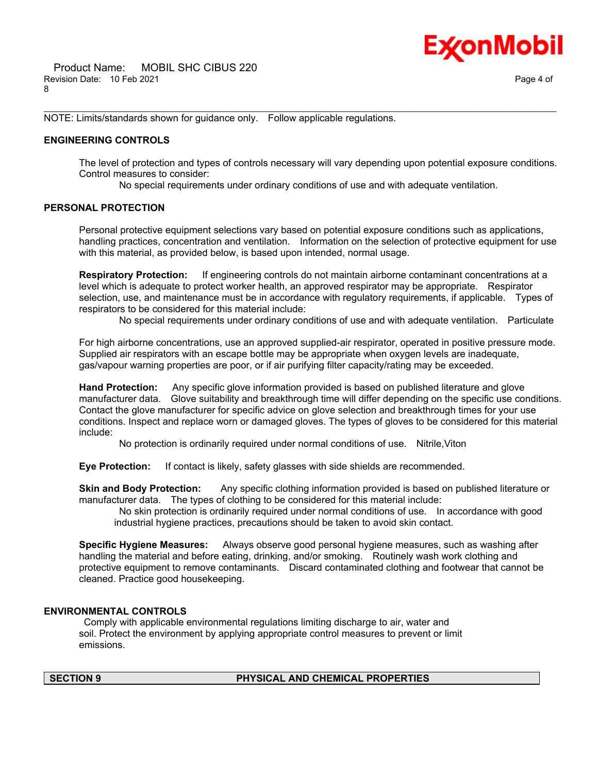NOTE: Limits/standards shown for guidance only. Follow applicable regulations.

### **ENGINEERING CONTROLS**

The level of protection and types of controls necessary will vary depending upon potential exposure conditions. Control measures to consider:

No special requirements under ordinary conditions of use and with adequate ventilation.

\_\_\_\_\_\_\_\_\_\_\_\_\_\_\_\_\_\_\_\_\_\_\_\_\_\_\_\_\_\_\_\_\_\_\_\_\_\_\_\_\_\_\_\_\_\_\_\_\_\_\_\_\_\_\_\_\_\_\_\_\_\_\_\_\_\_\_\_\_\_\_\_\_\_\_\_\_\_\_\_\_\_\_\_\_\_\_\_\_\_\_\_\_\_\_\_\_\_\_\_\_\_\_\_\_\_\_\_\_\_\_\_\_\_\_\_\_\_

### **PERSONAL PROTECTION**

Personal protective equipment selections vary based on potential exposure conditions such as applications, handling practices, concentration and ventilation. Information on the selection of protective equipment for use with this material, as provided below, is based upon intended, normal usage.

**Respiratory Protection:** If engineering controls do not maintain airborne contaminant concentrations at a level which is adequate to protect worker health, an approved respirator may be appropriate. Respirator selection, use, and maintenance must be in accordance with regulatory requirements, if applicable. Types of respirators to be considered for this material include:

No special requirements under ordinary conditions of use and with adequate ventilation. Particulate

For high airborne concentrations, use an approved supplied-air respirator, operated in positive pressure mode. Supplied air respirators with an escape bottle may be appropriate when oxygen levels are inadequate, gas/vapour warning properties are poor, or if air purifying filter capacity/rating may be exceeded.

**Hand Protection:** Any specific glove information provided is based on published literature and glove manufacturer data. Glove suitability and breakthrough time will differ depending on the specific use conditions. Contact the glove manufacturer for specific advice on glove selection and breakthrough times for your use conditions. Inspect and replace worn or damaged gloves. The types of gloves to be considered for this material include:

No protection is ordinarily required under normal conditions of use. Nitrile,Viton

**Eye Protection:** If contact is likely, safety glasses with side shields are recommended.

**Skin and Body Protection:** Any specific clothing information provided is based on published literature or manufacturer data. The types of clothing to be considered for this material include:

 No skin protection is ordinarily required under normal conditions of use. In accordance with good industrial hygiene practices, precautions should be taken to avoid skin contact.

**Specific Hygiene Measures:** Always observe good personal hygiene measures, such as washing after handling the material and before eating, drinking, and/or smoking. Routinely wash work clothing and protective equipment to remove contaminants. Discard contaminated clothing and footwear that cannot be cleaned. Practice good housekeeping.

### **ENVIRONMENTAL CONTROLS**

 Comply with applicable environmental regulations limiting discharge to air, water and soil. Protect the environment by applying appropriate control measures to prevent or limit emissions.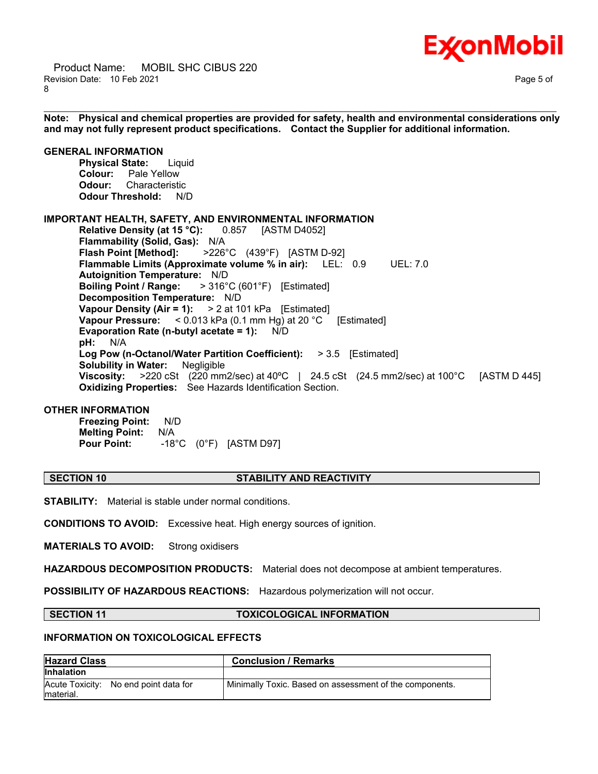

 Product Name: MOBIL SHC CIBUS 220 Revision Date: 10 Feb 2021 Page 5 of 8

\_\_\_\_\_\_\_\_\_\_\_\_\_\_\_\_\_\_\_\_\_\_\_\_\_\_\_\_\_\_\_\_\_\_\_\_\_\_\_\_\_\_\_\_\_\_\_\_\_\_\_\_\_\_\_\_\_\_\_\_\_\_\_\_\_\_\_\_\_\_\_\_\_\_\_\_\_\_\_\_\_\_\_\_\_\_\_\_\_\_\_\_\_\_\_\_\_\_\_\_\_\_\_\_\_\_\_\_\_\_\_\_\_\_\_\_\_\_ **Note: Physical and chemical properties are provided for safety, health and environmental considerations only and may not fully represent product specifications. Contact the Supplier for additional information.**

# **GENERAL INFORMATION**

**Physical State:** Liquid **Colour:** Pale Yellow **Odour:** Characteristic **Odour Threshold:** N/D

### **IMPORTANT HEALTH, SAFETY, AND ENVIRONMENTAL INFORMATION**

**Relative Density (at 15 °C):** 0.857 [ASTM D4052] **Flammability (Solid, Gas):** N/A **Flash Point [Method]:** >226°C (439°F) [ASTM D-92] **Flammable Limits (Approximate volume % in air):** LEL: 0.9 UEL: 7.0 **Autoignition Temperature:** N/D **Boiling Point / Range:** > 316°C (601°F) [Estimated] **Decomposition Temperature:** N/D **Vapour Density (Air = 1):** > 2 at 101 kPa [Estimated] **Vapour Pressure:** < 0.013 kPa (0.1 mm Hg) at 20 °C [Estimated] **Evaporation Rate (n-butyl acetate = 1):** N/D **pH:** N/A **Log Pow (n-Octanol/Water Partition Coefficient):** > 3.5 [Estimated] **Solubility in Water:** Negligible **Viscosity:** >220 cSt (220 mm2/sec) at 40ºC | 24.5 cSt (24.5 mm2/sec) at 100°C [ASTM D 445] **Oxidizing Properties:** See Hazards Identification Section.

# **OTHER INFORMATION**

**Freezing Point:** N/D **Melting Point:** N/A **Pour Point:** -18°C (0°F) [ASTM D97]

# **SECTION 10 STABILITY AND REACTIVITY**

**STABILITY:** Material is stable under normal conditions.

**CONDITIONS TO AVOID:** Excessive heat. High energy sources of ignition.

**MATERIALS TO AVOID:** Strong oxidisers

**HAZARDOUS DECOMPOSITION PRODUCTS:** Material does not decompose at ambient temperatures.

**POSSIBILITY OF HAZARDOUS REACTIONS:** Hazardous polymerization will not occur.

### **SECTION 11 TOXICOLOGICAL INFORMATION**

### **INFORMATION ON TOXICOLOGICAL EFFECTS**

| <b>Hazard Class</b>                                | <b>Conclusion / Remarks</b>                             |
|----------------------------------------------------|---------------------------------------------------------|
| <b>Inhalation</b>                                  |                                                         |
| Acute Toxicity: No end point data for<br>material. | Minimally Toxic. Based on assessment of the components. |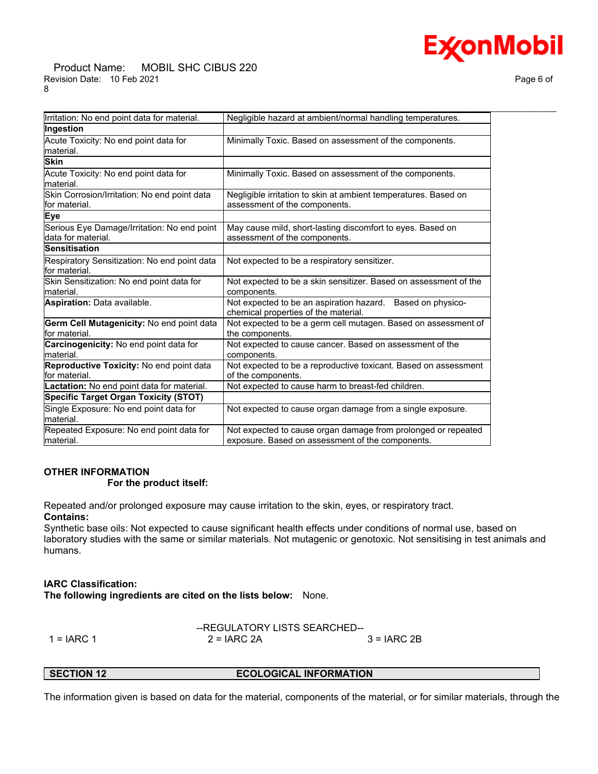### Product Name: MOBIL SHC CIBUS 220 Revision Date: 10 Feb 2021 **Page 6 of Page 6 of Page 6 of Page 6 of Page 6 of Page 6 of** 8

| Irritation: No end point data for material.                        | Negligible hazard at ambient/normal handling temperatures.                                                        |
|--------------------------------------------------------------------|-------------------------------------------------------------------------------------------------------------------|
| Ingestion                                                          |                                                                                                                   |
| Acute Toxicity: No end point data for<br>lmaterial.                | Minimally Toxic. Based on assessment of the components.                                                           |
| <b>Skin</b>                                                        |                                                                                                                   |
| Acute Toxicity: No end point data for<br>lmaterial.                | Minimally Toxic. Based on assessment of the components.                                                           |
| Skin Corrosion/Irritation: No end point data<br>for material.      | Negligible irritation to skin at ambient temperatures. Based on<br>assessment of the components.                  |
| Eye                                                                |                                                                                                                   |
| Serious Eye Damage/Irritation: No end point<br>ldata for material. | May cause mild, short-lasting discomfort to eyes. Based on<br>assessment of the components.                       |
| Sensitisation                                                      |                                                                                                                   |
| Respiratory Sensitization: No end point data<br>for material.      | Not expected to be a respiratory sensitizer.                                                                      |
| Skin Sensitization: No end point data for<br>material.             | Not expected to be a skin sensitizer. Based on assessment of the<br>components.                                   |
| Aspiration: Data available.                                        | Not expected to be an aspiration hazard. Based on physico-<br>chemical properties of the material.                |
| Germ Cell Mutagenicity: No end point data<br>lfor material.        | Not expected to be a germ cell mutagen. Based on assessment of<br>the components.                                 |
| <b>Carcinogenicity:</b> No end point data for<br>material.         | Not expected to cause cancer. Based on assessment of the<br>components.                                           |
| Reproductive Toxicity: No end point data<br>for material.          | Not expected to be a reproductive toxicant. Based on assessment<br>of the components.                             |
| Lactation: No end point data for material.                         | Not expected to cause harm to breast-fed children.                                                                |
| <b>Specific Target Organ Toxicity (STOT)</b>                       |                                                                                                                   |
| Single Exposure: No end point data for<br>material.                | Not expected to cause organ damage from a single exposure.                                                        |
| Repeated Exposure: No end point data for<br>material.              | Not expected to cause organ damage from prolonged or repeated<br>exposure. Based on assessment of the components. |
|                                                                    |                                                                                                                   |

# **OTHER INFORMATION For the product itself:**

Repeated and/or prolonged exposure may cause irritation to the skin, eyes, or respiratory tract. **Contains:**

Synthetic base oils: Not expected to cause significant health effects under conditions of normal use, based on laboratory studies with the same or similar materials. Not mutagenic or genotoxic. Not sensitising in test animals and humans.

# **IARC Classification:**

**The following ingredients are cited on the lists below:** None.

|            | --REGULATORY LISTS SEARCHED-- |              |  |
|------------|-------------------------------|--------------|--|
| 1 = IARC 1 | $2 = IARC 2A$                 | $3 = IARC2B$ |  |

**SECTION 12 ECOLOGICAL INFORMATION** 

The information given is based on data for the material, components of the material, or for similar materials, through the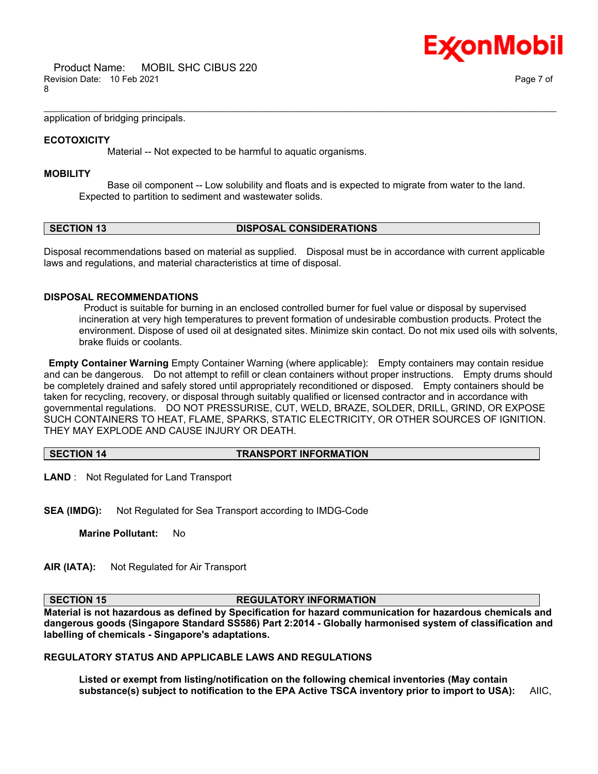

application of bridging principals.

## **ECOTOXICITY**

Material -- Not expected to be harmful to aquatic organisms.

### **MOBILITY**

 Base oil component -- Low solubility and floats and is expected to migrate from water to the land. Expected to partition to sediment and wastewater solids.

\_\_\_\_\_\_\_\_\_\_\_\_\_\_\_\_\_\_\_\_\_\_\_\_\_\_\_\_\_\_\_\_\_\_\_\_\_\_\_\_\_\_\_\_\_\_\_\_\_\_\_\_\_\_\_\_\_\_\_\_\_\_\_\_\_\_\_\_\_\_\_\_\_\_\_\_\_\_\_\_\_\_\_\_\_\_\_\_\_\_\_\_\_\_\_\_\_\_\_\_\_\_\_\_\_\_\_\_\_\_\_\_\_\_\_\_\_\_

# **SECTION 13 DISPOSAL CONSIDERATIONS**

Disposal recommendations based on material as supplied. Disposal must be in accordance with current applicable laws and regulations, and material characteristics at time of disposal.

# **DISPOSAL RECOMMENDATIONS**

 Product is suitable for burning in an enclosed controlled burner for fuel value or disposal by supervised incineration at very high temperatures to prevent formation of undesirable combustion products. Protect the environment. Dispose of used oil at designated sites. Minimize skin contact. Do not mix used oils with solvents, brake fluids or coolants.

**Empty Container Warning** Empty Container Warning (where applicable): Empty containers may contain residue and can be dangerous. Do not attempt to refill or clean containers without proper instructions. Empty drums should be completely drained and safely stored until appropriately reconditioned or disposed. Empty containers should be taken for recycling, recovery, or disposal through suitably qualified or licensed contractor and in accordance with governmental regulations. DO NOT PRESSURISE, CUT, WELD, BRAZE, SOLDER, DRILL, GRIND, OR EXPOSE SUCH CONTAINERS TO HEAT, FLAME, SPARKS, STATIC ELECTRICITY, OR OTHER SOURCES OF IGNITION. THEY MAY EXPLODE AND CAUSE INJURY OR DEATH.

**SECTION 14 TRANSPORT INFORMATION**

**LAND** : Not Regulated for Land Transport

**SEA (IMDG):** Not Regulated for Sea Transport according to IMDG-Code

**Marine Pollutant:** No

**AIR (IATA):** Not Regulated for Air Transport

# **SECTION 15 REGULATORY INFORMATION**

**Material is not hazardous as defined by Specification for hazard communication for hazardous chemicals and dangerous goods (Singapore Standard SS586) Part 2:2014 - Globally harmonised system of classification and labelling of chemicals - Singapore's adaptations.**

# **REGULATORY STATUS AND APPLICABLE LAWS AND REGULATIONS**

**Listed or exempt from listing/notification on the following chemical inventories (May contain substance(s) subject to notification to the EPA Active TSCA inventory prior to import to USA):** AIIC,